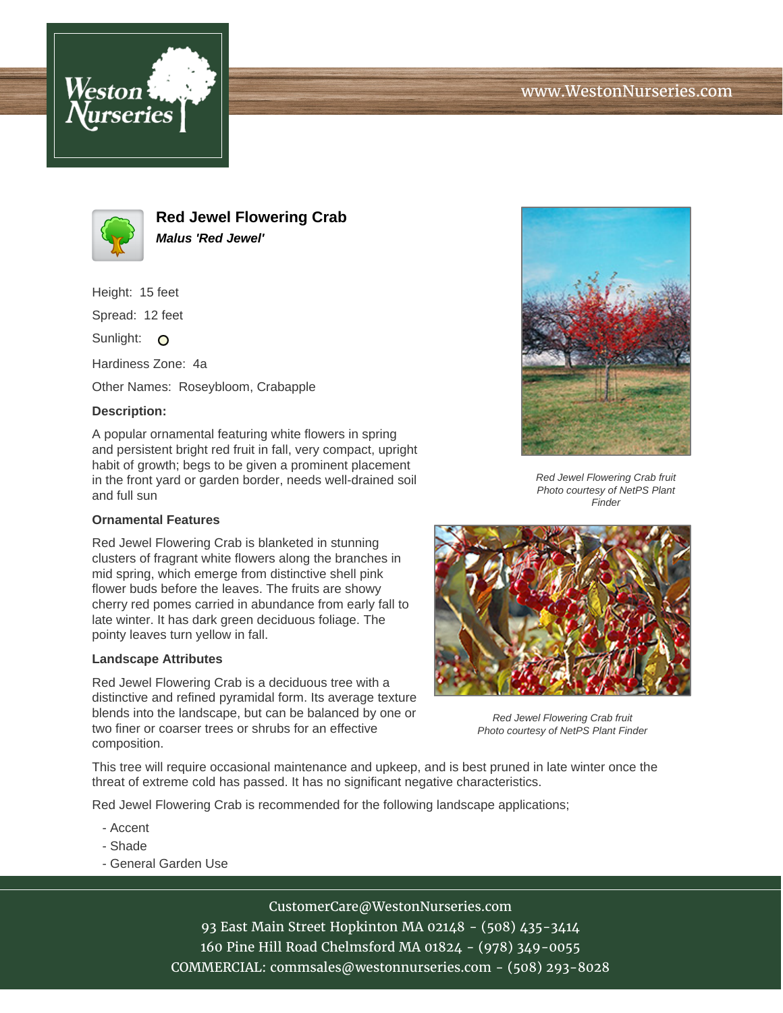



**Red Jewel Flowering Crab Malus 'Red Jewel'**

Height: 15 feet

Spread: 12 feet

Sunlight: O

Hardiness Zone: 4a

Other Names: Roseybloom, Crabapple

## **Description:**

A popular ornamental featuring white flowers in spring and persistent bright red fruit in fall, very compact, upright habit of growth; begs to be given a prominent placement in the front yard or garden border, needs well-drained soil and full sun

## **Ornamental Features**

Red Jewel Flowering Crab is blanketed in stunning clusters of fragrant white flowers along the branches in mid spring, which emerge from distinctive shell pink flower buds before the leaves. The fruits are showy cherry red pomes carried in abundance from early fall to late winter. It has dark green deciduous foliage. The pointy leaves turn yellow in fall.

## **Landscape Attributes**

Red Jewel Flowering Crab is a deciduous tree with a distinctive and refined pyramidal form. Its average texture blends into the landscape, but can be balanced by one or two finer or coarser trees or shrubs for an effective composition.



Red Jewel Flowering Crab fruit Photo courtesy of NetPS Plant **Finder** 



Red Jewel Flowering Crab fruit Photo courtesy of NetPS Plant Finder

This tree will require occasional maintenance and upkeep, and is best pruned in late winter once the threat of extreme cold has passed. It has no significant negative characteristics.

Red Jewel Flowering Crab is recommended for the following landscape applications;

- Accent
- Shade
- General Garden Use

CustomerCare@WestonNurseries.com 93 East Main Street Hopkinton MA 02148 - (508) 435-3414 160 Pine Hill Road Chelmsford MA 01824 - (978) 349-0055 COMMERCIAL: commsales@westonnurseries.com - (508) 293-8028